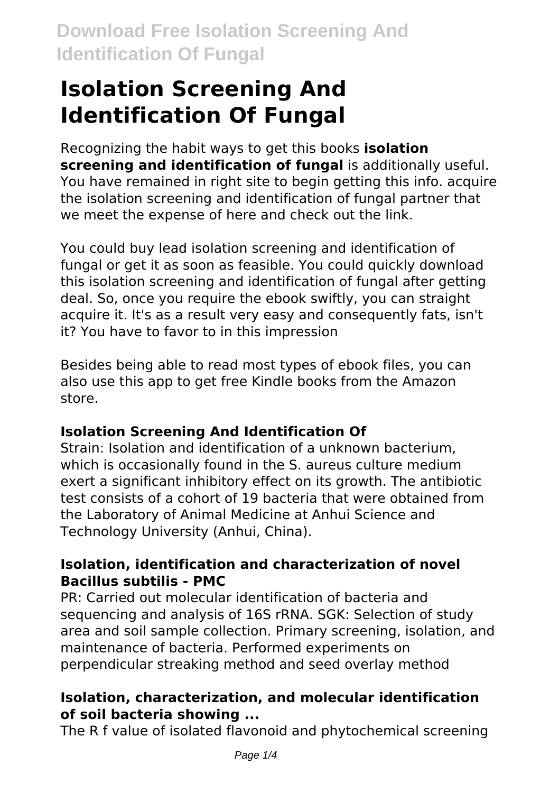# **Isolation Screening And Identification Of Fungal**

Recognizing the habit ways to get this books **isolation screening and identification of fungal** is additionally useful. You have remained in right site to begin getting this info. acquire the isolation screening and identification of fungal partner that we meet the expense of here and check out the link.

You could buy lead isolation screening and identification of fungal or get it as soon as feasible. You could quickly download this isolation screening and identification of fungal after getting deal. So, once you require the ebook swiftly, you can straight acquire it. It's as a result very easy and consequently fats, isn't it? You have to favor to in this impression

Besides being able to read most types of ebook files, you can also use this app to get free Kindle books from the Amazon store.

### **Isolation Screening And Identification Of**

Strain: Isolation and identification of a unknown bacterium, which is occasionally found in the S. aureus culture medium exert a significant inhibitory effect on its growth. The antibiotic test consists of a cohort of 19 bacteria that were obtained from the Laboratory of Animal Medicine at Anhui Science and Technology University (Anhui, China).

#### **Isolation, identification and characterization of novel Bacillus subtilis - PMC**

PR: Carried out molecular identification of bacteria and sequencing and analysis of 16S rRNA. SGK: Selection of study area and soil sample collection. Primary screening, isolation, and maintenance of bacteria. Performed experiments on perpendicular streaking method and seed overlay method

### **Isolation, characterization, and molecular identification of soil bacteria showing ...**

The R f value of isolated flavonoid and phytochemical screening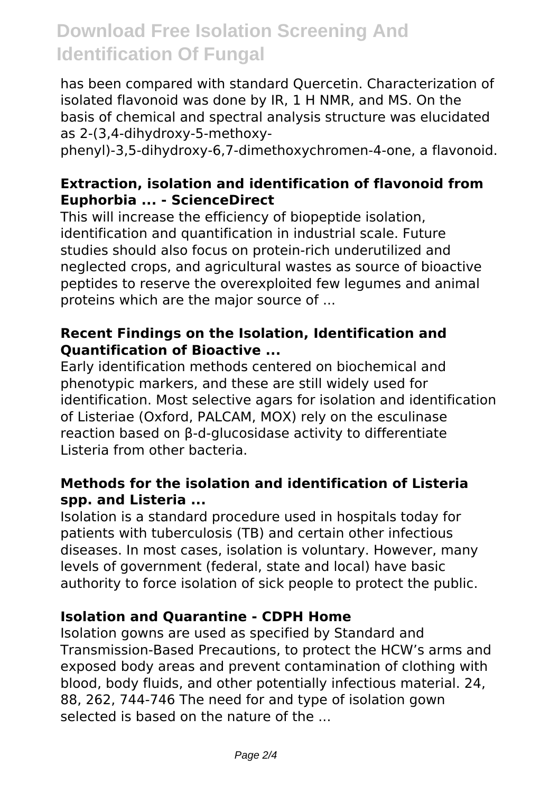# **Download Free Isolation Screening And Identification Of Fungal**

has been compared with standard Quercetin. Characterization of isolated flavonoid was done by IR, 1 H NMR, and MS. On the basis of chemical and spectral analysis structure was elucidated as 2-(3,4-dihydroxy-5-methoxy-

phenyl)-3,5-dihydroxy-6,7-dimethoxychromen-4-one, a flavonoid.

#### **Extraction, isolation and identification of flavonoid from Euphorbia ... - ScienceDirect**

This will increase the efficiency of biopeptide isolation, identification and quantification in industrial scale. Future studies should also focus on protein-rich underutilized and neglected crops, and agricultural wastes as source of bioactive peptides to reserve the overexploited few legumes and animal proteins which are the major source of ...

#### **Recent Findings on the Isolation, Identification and Quantification of Bioactive ...**

Early identification methods centered on biochemical and phenotypic markers, and these are still widely used for identification. Most selective agars for isolation and identification of Listeriae (Oxford, PALCAM, MOX) rely on the esculinase reaction based on β-d-glucosidase activity to differentiate Listeria from other bacteria.

#### **Methods for the isolation and identification of Listeria spp. and Listeria ...**

Isolation is a standard procedure used in hospitals today for patients with tuberculosis (TB) and certain other infectious diseases. In most cases, isolation is voluntary. However, many levels of government (federal, state and local) have basic authority to force isolation of sick people to protect the public.

#### **Isolation and Quarantine - CDPH Home**

Isolation gowns are used as specified by Standard and Transmission-Based Precautions, to protect the HCW's arms and exposed body areas and prevent contamination of clothing with blood, body fluids, and other potentially infectious material. 24, 88, 262, 744-746 The need for and type of isolation gown selected is based on the nature of the ...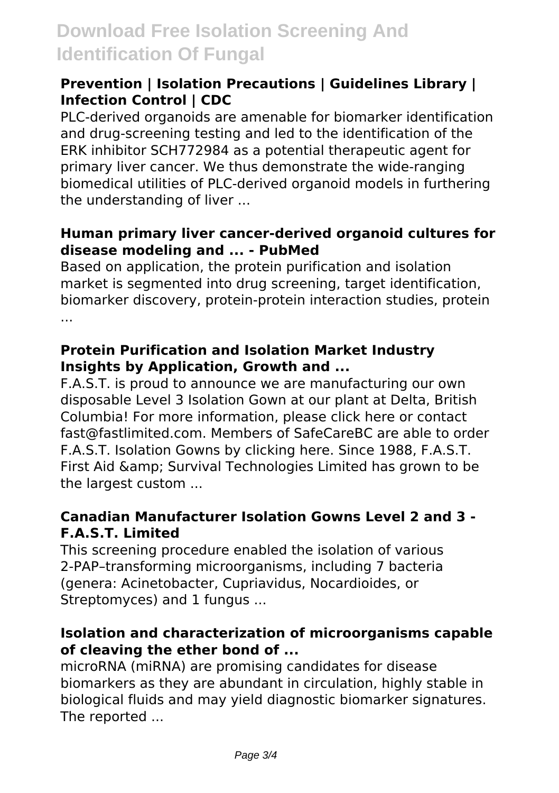# **Download Free Isolation Screening And Identification Of Fungal**

#### **Prevention | Isolation Precautions | Guidelines Library | Infection Control | CDC**

PLC-derived organoids are amenable for biomarker identification and drug-screening testing and led to the identification of the ERK inhibitor SCH772984 as a potential therapeutic agent for primary liver cancer. We thus demonstrate the wide-ranging biomedical utilities of PLC-derived organoid models in furthering the understanding of liver ...

#### **Human primary liver cancer-derived organoid cultures for disease modeling and ... - PubMed**

Based on application, the protein purification and isolation market is segmented into drug screening, target identification, biomarker discovery, protein-protein interaction studies, protein ...

#### **Protein Purification and Isolation Market Industry Insights by Application, Growth and ...**

F.A.S.T. is proud to announce we are manufacturing our own disposable Level 3 Isolation Gown at our plant at Delta, British Columbia! For more information, please click here or contact fast@fastlimited.com. Members of SafeCareBC are able to order F.A.S.T. Isolation Gowns by clicking here. Since 1988, F.A.S.T. First Aid & amp; Survival Technologies Limited has grown to be the largest custom ...

#### **Canadian Manufacturer Isolation Gowns Level 2 and 3 - F.A.S.T. Limited**

This screening procedure enabled the isolation of various 2-PAP–transforming microorganisms, including 7 bacteria (genera: Acinetobacter, Cupriavidus, Nocardioides, or Streptomyces) and 1 fungus ...

#### **Isolation and characterization of microorganisms capable of cleaving the ether bond of ...**

microRNA (miRNA) are promising candidates for disease biomarkers as they are abundant in circulation, highly stable in biological fluids and may yield diagnostic biomarker signatures. The reported ...